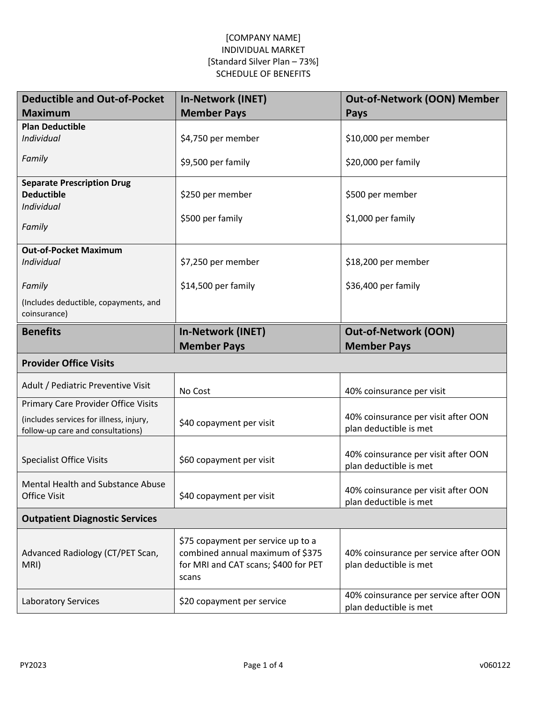| <b>Deductible and Out-of-Pocket</b>                   | <b>In-Network (INET)</b>                                                                                                | <b>Out-of-Network (OON) Member</b>                              |
|-------------------------------------------------------|-------------------------------------------------------------------------------------------------------------------------|-----------------------------------------------------------------|
| <b>Maximum</b>                                        | <b>Member Pays</b>                                                                                                      | <b>Pays</b>                                                     |
| <b>Plan Deductible</b>                                |                                                                                                                         |                                                                 |
| Individual                                            | \$4,750 per member                                                                                                      | \$10,000 per member                                             |
| Family                                                | \$9,500 per family                                                                                                      | \$20,000 per family                                             |
| <b>Separate Prescription Drug</b>                     |                                                                                                                         |                                                                 |
| <b>Deductible</b>                                     | \$250 per member                                                                                                        | \$500 per member                                                |
| Individual                                            |                                                                                                                         |                                                                 |
| Family                                                | \$500 per family                                                                                                        | \$1,000 per family                                              |
|                                                       |                                                                                                                         |                                                                 |
| <b>Out-of-Pocket Maximum</b>                          |                                                                                                                         |                                                                 |
| Individual                                            | \$7,250 per member                                                                                                      | \$18,200 per member                                             |
| Family                                                | \$14,500 per family                                                                                                     | \$36,400 per family                                             |
| (Includes deductible, copayments, and<br>coinsurance) |                                                                                                                         |                                                                 |
| <b>Benefits</b>                                       | <b>In-Network (INET)</b>                                                                                                | <b>Out-of-Network (OON)</b>                                     |
|                                                       | <b>Member Pays</b>                                                                                                      | <b>Member Pays</b>                                              |
| <b>Provider Office Visits</b>                         |                                                                                                                         |                                                                 |
| Adult / Pediatric Preventive Visit                    | No Cost                                                                                                                 | 40% coinsurance per visit                                       |
| Primary Care Provider Office Visits                   |                                                                                                                         |                                                                 |
| (includes services for illness, injury,               | \$40 copayment per visit                                                                                                | 40% coinsurance per visit after OON                             |
| follow-up care and consultations)                     |                                                                                                                         | plan deductible is met                                          |
| <b>Specialist Office Visits</b>                       | \$60 copayment per visit                                                                                                | 40% coinsurance per visit after OON<br>plan deductible is met   |
| <b>Mental Health and Substance Abuse</b>              |                                                                                                                         |                                                                 |
| <b>Office Visit</b>                                   | \$40 copayment per visit                                                                                                | 40% coinsurance per visit after OON                             |
|                                                       |                                                                                                                         | plan deductible is met                                          |
| <b>Outpatient Diagnostic Services</b>                 |                                                                                                                         |                                                                 |
| Advanced Radiology (CT/PET Scan,<br>MRI)              | \$75 copayment per service up to a<br>combined annual maximum of \$375<br>for MRI and CAT scans; \$400 for PET<br>scans | 40% coinsurance per service after OON<br>plan deductible is met |
| <b>Laboratory Services</b>                            | \$20 copayment per service                                                                                              | 40% coinsurance per service after OON<br>plan deductible is met |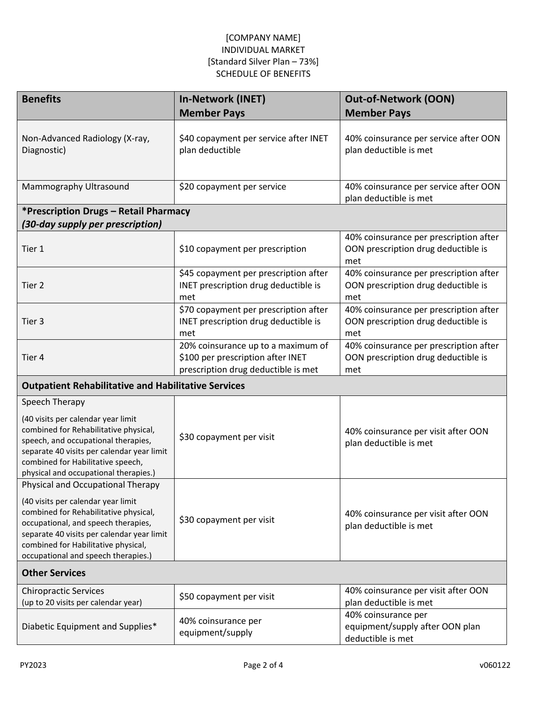| <b>Benefits</b>                                                                                                                                                                                                                                                                     | <b>In-Network (INET)</b>                                                                                       | <b>Out-of-Network (OON)</b>                                                          |
|-------------------------------------------------------------------------------------------------------------------------------------------------------------------------------------------------------------------------------------------------------------------------------------|----------------------------------------------------------------------------------------------------------------|--------------------------------------------------------------------------------------|
|                                                                                                                                                                                                                                                                                     | <b>Member Pays</b>                                                                                             | <b>Member Pays</b>                                                                   |
| Non-Advanced Radiology (X-ray,<br>Diagnostic)                                                                                                                                                                                                                                       | \$40 copayment per service after INET<br>plan deductible                                                       | 40% coinsurance per service after OON<br>plan deductible is met                      |
| Mammography Ultrasound                                                                                                                                                                                                                                                              | \$20 copayment per service                                                                                     | 40% coinsurance per service after OON<br>plan deductible is met                      |
| *Prescription Drugs – Retail Pharmacy                                                                                                                                                                                                                                               |                                                                                                                |                                                                                      |
| (30-day supply per prescription)                                                                                                                                                                                                                                                    |                                                                                                                |                                                                                      |
| Tier 1                                                                                                                                                                                                                                                                              | \$10 copayment per prescription                                                                                | 40% coinsurance per prescription after<br>OON prescription drug deductible is<br>met |
| Tier 2                                                                                                                                                                                                                                                                              | \$45 copayment per prescription after<br>INET prescription drug deductible is<br>met                           | 40% coinsurance per prescription after<br>OON prescription drug deductible is<br>met |
| Tier 3                                                                                                                                                                                                                                                                              | \$70 copayment per prescription after<br>INET prescription drug deductible is<br>met                           | 40% coinsurance per prescription after<br>OON prescription drug deductible is<br>met |
| Tier 4                                                                                                                                                                                                                                                                              | 20% coinsurance up to a maximum of<br>\$100 per prescription after INET<br>prescription drug deductible is met | 40% coinsurance per prescription after<br>OON prescription drug deductible is<br>met |
| <b>Outpatient Rehabilitative and Habilitative Services</b>                                                                                                                                                                                                                          |                                                                                                                |                                                                                      |
| Speech Therapy                                                                                                                                                                                                                                                                      |                                                                                                                |                                                                                      |
| (40 visits per calendar year limit<br>combined for Rehabilitative physical,<br>speech, and occupational therapies,<br>separate 40 visits per calendar year limit<br>combined for Habilitative speech,<br>physical and occupational therapies.)                                      | \$30 copayment per visit                                                                                       | 40% coinsurance per visit after OON<br>plan deductible is met                        |
| Physical and Occupational Therapy<br>(40 visits per calendar year limit<br>combined for Rehabilitative physical,<br>occupational, and speech therapies,<br>separate 40 visits per calendar year limit<br>combined for Habilitative physical,<br>occupational and speech therapies.) | \$30 copayment per visit                                                                                       | 40% coinsurance per visit after OON<br>plan deductible is met                        |
| <b>Other Services</b>                                                                                                                                                                                                                                                               |                                                                                                                |                                                                                      |
| <b>Chiropractic Services</b><br>(up to 20 visits per calendar year)                                                                                                                                                                                                                 | \$50 copayment per visit                                                                                       | 40% coinsurance per visit after OON<br>plan deductible is met                        |
| Diabetic Equipment and Supplies*                                                                                                                                                                                                                                                    | 40% coinsurance per<br>equipment/supply                                                                        | 40% coinsurance per<br>equipment/supply after OON plan<br>deductible is met          |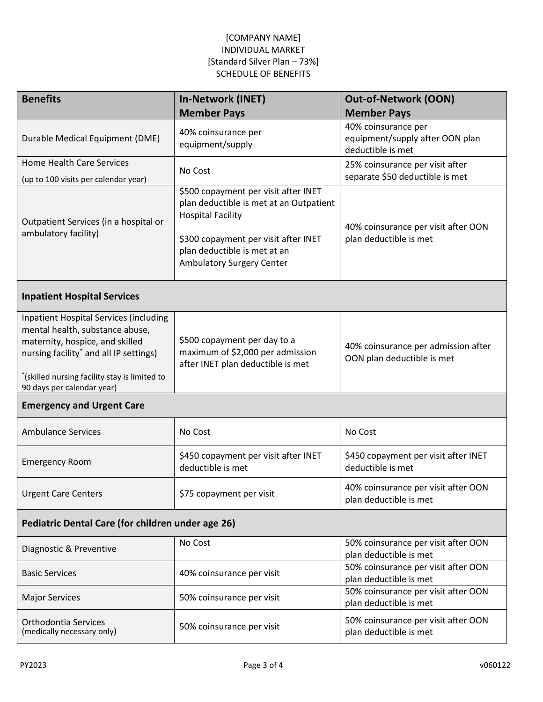| <b>Benefits</b>                                                                                                                                                                                                                                          | <b>In-Network (INET)</b>                                                                                                                                                                                         | <b>Out-of-Network (OON)</b>                                                 |  |
|----------------------------------------------------------------------------------------------------------------------------------------------------------------------------------------------------------------------------------------------------------|------------------------------------------------------------------------------------------------------------------------------------------------------------------------------------------------------------------|-----------------------------------------------------------------------------|--|
|                                                                                                                                                                                                                                                          | <b>Member Pays</b>                                                                                                                                                                                               | <b>Member Pays</b>                                                          |  |
| Durable Medical Equipment (DME)                                                                                                                                                                                                                          | 40% coinsurance per<br>equipment/supply                                                                                                                                                                          | 40% coinsurance per<br>equipment/supply after OON plan<br>deductible is met |  |
| <b>Home Health Care Services</b><br>(up to 100 visits per calendar year)                                                                                                                                                                                 | No Cost                                                                                                                                                                                                          | 25% coinsurance per visit after<br>separate \$50 deductible is met          |  |
| Outpatient Services (in a hospital or<br>ambulatory facility)                                                                                                                                                                                            | \$500 copayment per visit after INET<br>plan deductible is met at an Outpatient<br><b>Hospital Facility</b><br>\$300 copayment per visit after INET<br>plan deductible is met at an<br>Ambulatory Surgery Center | 40% coinsurance per visit after OON<br>plan deductible is met               |  |
| <b>Inpatient Hospital Services</b>                                                                                                                                                                                                                       |                                                                                                                                                                                                                  |                                                                             |  |
| <b>Inpatient Hospital Services (including</b><br>mental health, substance abuse,<br>maternity, hospice, and skilled<br>nursing facility <sup>*</sup> and all IP settings)<br>*(skilled nursing facility stay is limited to<br>90 days per calendar year) | \$500 copayment per day to a<br>maximum of \$2,000 per admission<br>after INET plan deductible is met                                                                                                            | 40% coinsurance per admission after<br>OON plan deductible is met           |  |
| <b>Emergency and Urgent Care</b>                                                                                                                                                                                                                         |                                                                                                                                                                                                                  |                                                                             |  |
| <b>Ambulance Services</b>                                                                                                                                                                                                                                | No Cost                                                                                                                                                                                                          | No Cost                                                                     |  |
| <b>Emergency Room</b>                                                                                                                                                                                                                                    | \$450 copayment per visit after INET<br>deductible is met                                                                                                                                                        | \$450 copayment per visit after INET<br>deductible is met                   |  |
| <b>Urgent Care Centers</b>                                                                                                                                                                                                                               | \$75 copayment per visit                                                                                                                                                                                         | 40% coinsurance per visit after OON<br>plan deductible is met               |  |
| Pediatric Dental Care (for children under age 26)                                                                                                                                                                                                        |                                                                                                                                                                                                                  |                                                                             |  |
| Diagnostic & Preventive                                                                                                                                                                                                                                  | No Cost                                                                                                                                                                                                          | 50% coinsurance per visit after OON<br>plan deductible is met               |  |
| <b>Basic Services</b>                                                                                                                                                                                                                                    | 40% coinsurance per visit                                                                                                                                                                                        | 50% coinsurance per visit after OON<br>plan deductible is met               |  |
| <b>Major Services</b>                                                                                                                                                                                                                                    | 50% coinsurance per visit                                                                                                                                                                                        | 50% coinsurance per visit after OON<br>plan deductible is met               |  |
| Orthodontia Services<br>(medically necessary only)                                                                                                                                                                                                       | 50% coinsurance per visit                                                                                                                                                                                        | 50% coinsurance per visit after OON<br>plan deductible is met               |  |